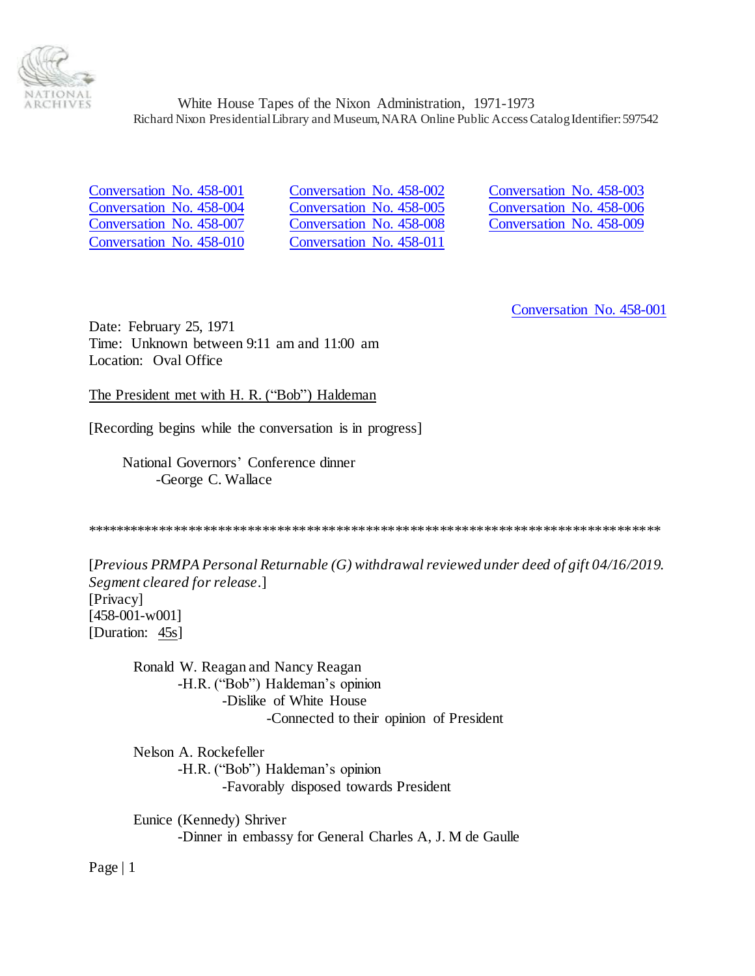

[Conversation No. 458-010](#page-15-0) [Conversation No. 458-011](#page-22-0)

<span id="page-0-1"></span>[Conversation No. 458-001](#page-0-0) [Conversation No. 458-002](#page-1-0) [Conversation No. 458-003](#page-2-0) [Conversation No. 458-004](#page-2-1) [Conversation No. 458-005](#page-3-0) [Conversation No. 458-006](#page-5-0) [Conversation No. 458-007](#page-6-0) [Conversation No. 458-008](#page-8-0) [Conversation No. 458-009](#page-9-0)

<span id="page-0-0"></span>[Conversation No. 458-001](#page-0-1)

Date: February 25, 1971 Time: Unknown between 9:11 am and 11:00 am Location: Oval Office

## The President met with H. R. ("Bob") Haldeman

[Recording begins while the conversation is in progress]

National Governors' Conference dinner -George C. Wallace

\*\*\*\*\*\*\*\*\*\*\*\*\*\*\*\*\*\*\*\*\*\*\*\*\*\*\*\*\*\*\*\*\*\*\*\*\*\*\*\*\*\*\*\*\*\*\*\*\*\*\*\*\*\*\*\*\*\*\*\*\*\*\*\*\*\*\*\*\*\*\*\*\*\*\*\*\*\*

[*Previous PRMPA Personal Returnable (G) withdrawal reviewed under deed of gift 04/16/2019. Segment cleared for release*.] [Privacy] [458-001-w001] [Duration: 45s]

Ronald W. Reagan and Nancy Reagan -H.R. ("Bob") Haldeman's opinion -Dislike of White House -Connected to their opinion of President

Nelson A. Rockefeller -H.R. ("Bob") Haldeman's opinion -Favorably disposed towards President

Eunice (Kennedy) Shriver -Dinner in embassy for General Charles A, J. M de Gaulle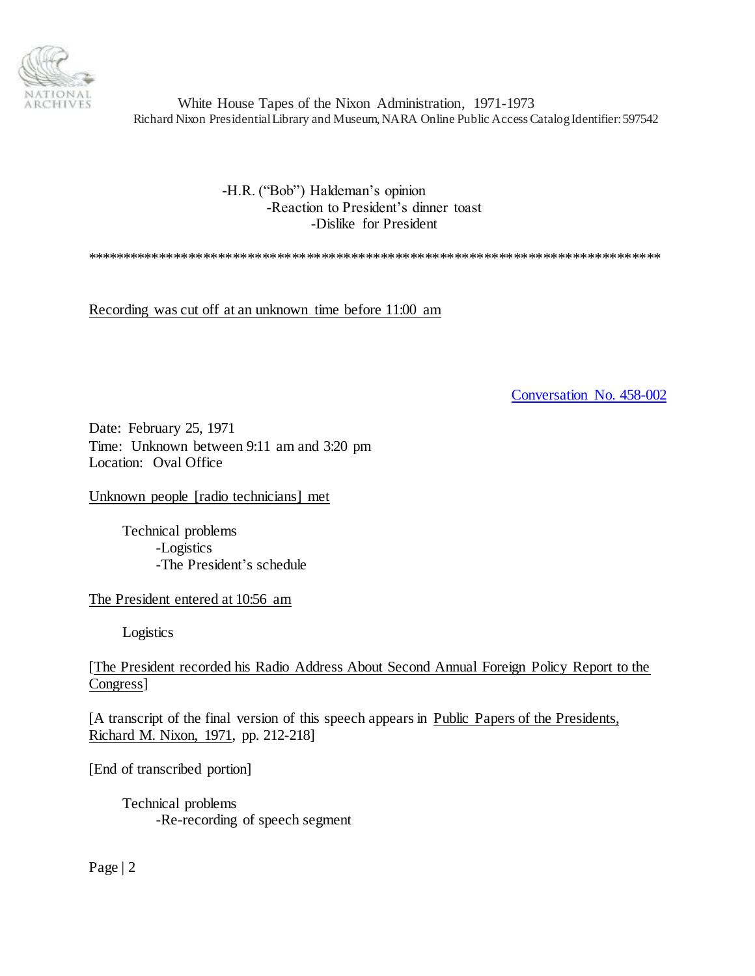

> -H.R. ("Bob") Haldeman's opinion -Reaction to President's dinner toast -Dislike for President

\*\*\*\*\*\*\*\*\*\*\*\*\*\*\*\*\*\*\*\*\*\*\*\*\*\*\*\*\*\*\*\*\*\*\*\*\*\*\*\*\*\*\*\*\*\*\*\*\*\*\*\*\*\*\*\*\*\*\*\*\*\*\*\*\*\*\*\*\*\*\*\*\*\*\*\*\*\*

Recording was cut off at an unknown time before 11:00 am

<span id="page-1-0"></span>[Conversation No. 458-002](#page-0-1)

Date: February 25, 1971 Time: Unknown between 9:11 am and 3:20 pm Location: Oval Office

Unknown people [radio technicians] met

Technical problems -Logistics -The President's schedule

The President entered at 10:56 am

Logistics

[The President recorded his Radio Address About Second Annual Foreign Policy Report to the Congress]

[A transcript of the final version of this speech appears in Public Papers of the Presidents, Richard M. Nixon, 1971, pp. 212-218]

[End of transcribed portion]

Technical problems -Re-recording of speech segment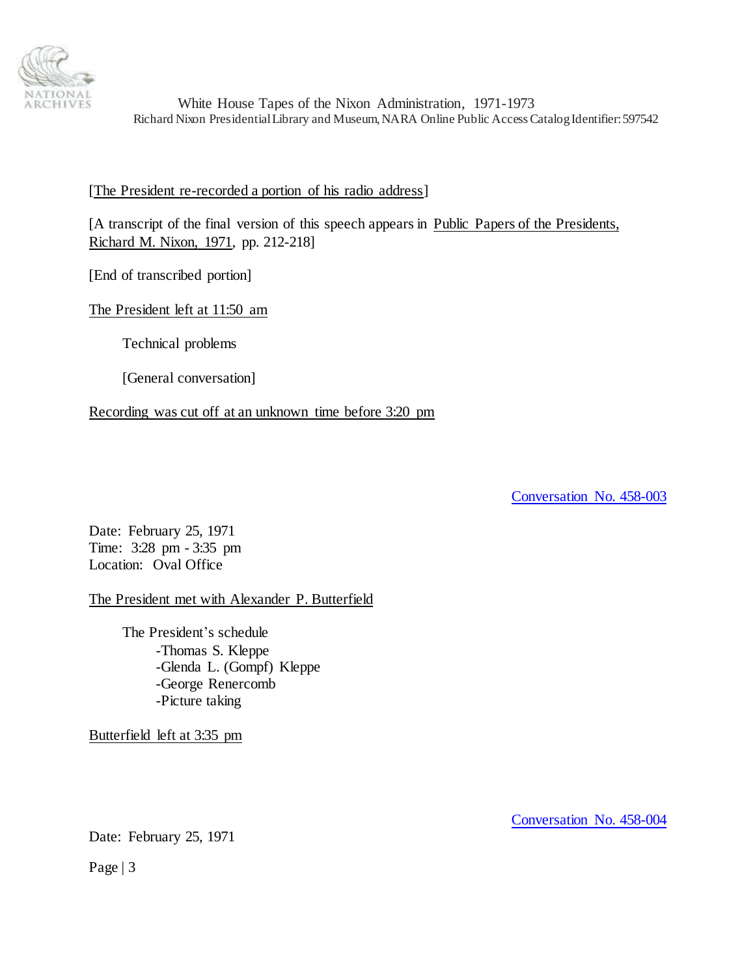

## [The President re-recorded a portion of his radio address]

[A transcript of the final version of this speech appears in Public Papers of the Presidents, Richard M. Nixon, 1971, pp. 212-218]

[End of transcribed portion]

# The President left at 11:50 am

Technical problems

[General conversation]

Recording was cut off at an unknown time before 3:20 pm

<span id="page-2-0"></span>[Conversation No. 458-003](#page-0-1)

Date: February 25, 1971 Time: 3:28 pm - 3:35 pm Location: Oval Office

The President met with Alexander P. Butterfield

The President's schedule -Thomas S. Kleppe -Glenda L. (Gompf) Kleppe -George Renercomb -Picture taking

Butterfield left at 3:35 pm

Date: February 25, 1971

Page | 3

<span id="page-2-1"></span>[Conversation No. 458-004](#page-0-1)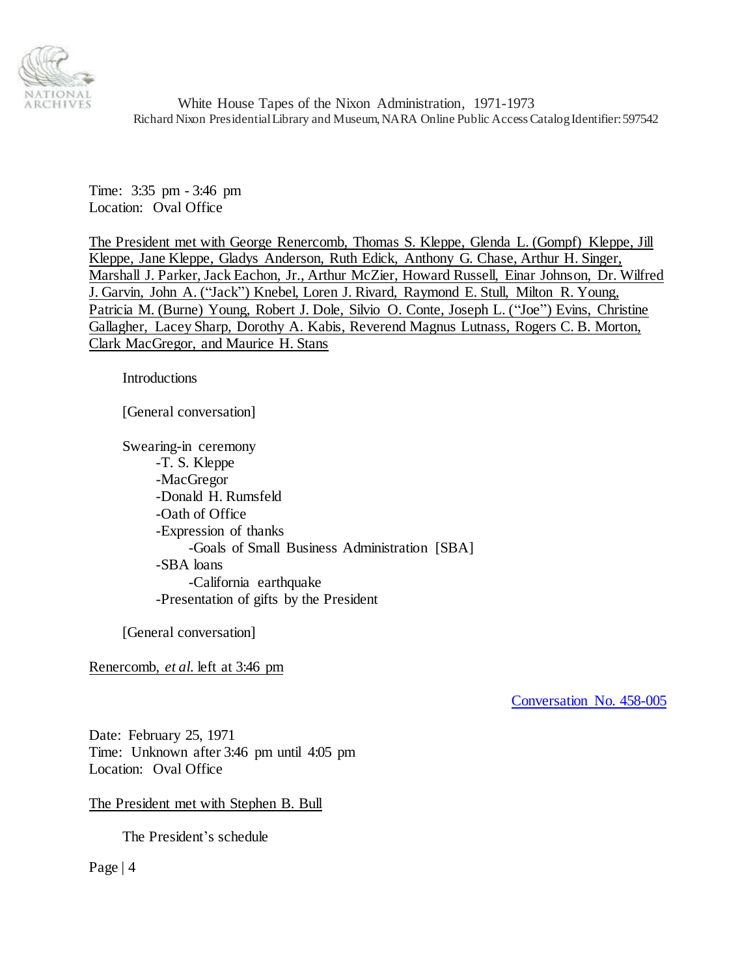

Time: 3:35 pm - 3:46 pm Location: Oval Office

The President met with George Renercomb, Thomas S. Kleppe, Glenda L. (Gompf) Kleppe, Jill Kleppe, Jane Kleppe, Gladys Anderson, Ruth Edick, Anthony G. Chase, Arthur H. Singer, Marshall J. Parker, Jack Eachon, Jr., Arthur McZier, Howard Russell, Einar Johnson, Dr. Wilfred J. Garvin, John A. ("Jack") Knebel, Loren J. Rivard, Raymond E. Stull, Milton R. Young, Patricia M. (Burne) Young, Robert J. Dole, Silvio O. Conte, Joseph L. ("Joe") Evins, Christine Gallagher, Lacey Sharp, Dorothy A. Kabis, Reverend Magnus Lutnass, Rogers C. B. Morton, Clark MacGregor, and Maurice H. Stans

**Introductions** 

[General conversation]

Swearing-in ceremony -T. S. Kleppe -MacGregor -Donald H. Rumsfeld -Oath of Office -Expression of thanks -Goals of Small Business Administration [SBA] -SBA loans -California earthquake -Presentation of gifts by the President

[General conversation]

Renercomb, *et al.* left at 3:46 pm

<span id="page-3-0"></span>[Conversation No. 458-005](#page-0-1)

Date: February 25, 1971 Time: Unknown after 3:46 pm until 4:05 pm Location: Oval Office

The President met with Stephen B. Bull

The President's schedule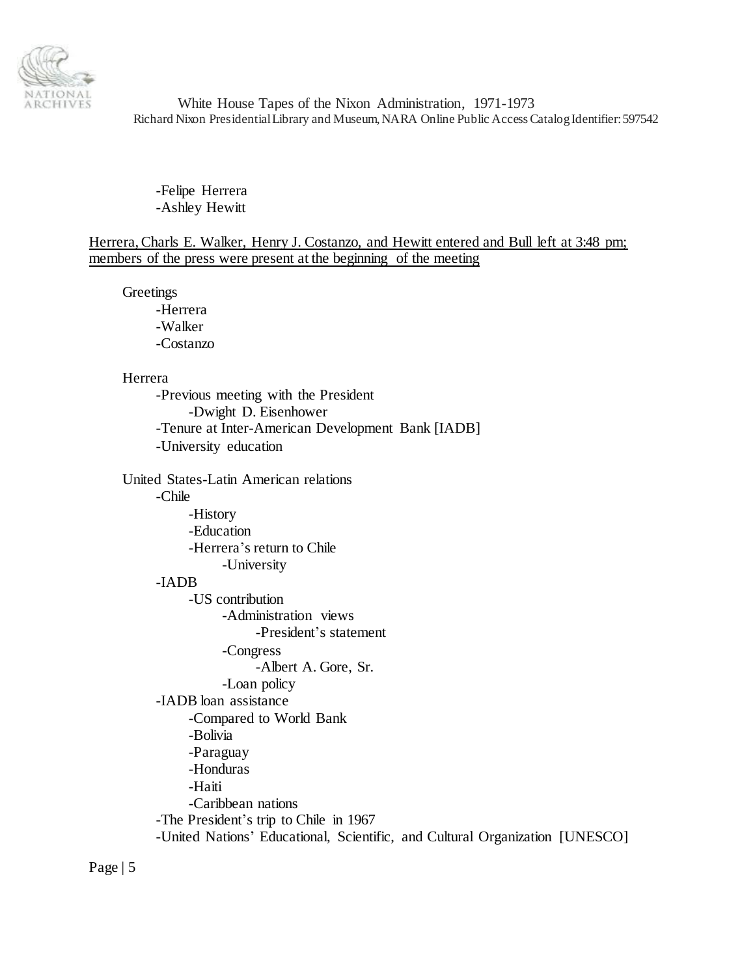

-Felipe Herrera -Ashley Hewitt

Herrera, Charls E. Walker, Henry J. Costanzo, and Hewitt entered and Bull left at 3:48 pm; members of the press were present at the beginning of the meeting

**Greetings** 

-Herrera -Walker -Costanzo

#### Herrera

-Previous meeting with the President -Dwight D. Eisenhower -Tenure at Inter-American Development Bank [IADB] -University education

United States-Latin American relations

### -Chile

-History -Education -Herrera's return to Chile -University -IADB -US contribution -Administration views -President's statement -Congress

-Albert A. Gore, Sr.

-Loan policy

-IADB loan assistance

-Compared to World Bank

-Bolivia

-Paraguay

-Honduras

-Haiti

-Caribbean nations

-The President's trip to Chile in 1967

-United Nations' Educational, Scientific, and Cultural Organization [UNESCO]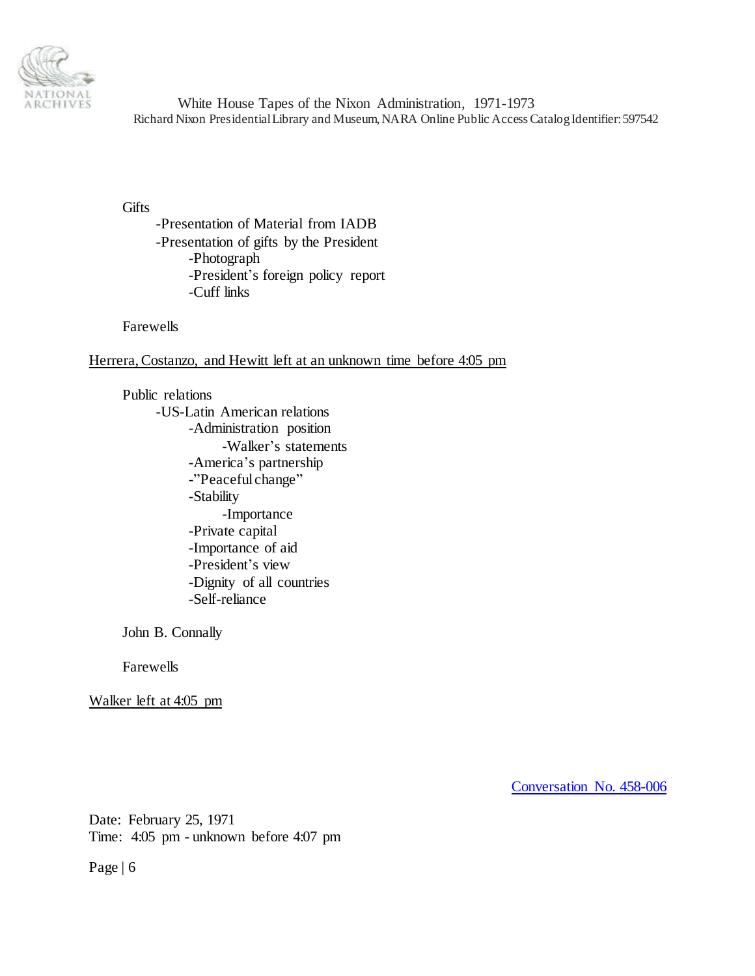

**Gifts** 

-Presentation of Material from IADB -Presentation of gifts by the President -Photograph -President's foreign policy report -Cuff links

Farewells

Herrera, Costanzo, and Hewitt left at an unknown time before 4:05 pm

Public relations -US-Latin American relations -Administration position -Walker's statements -America's partnership -"Peaceful change" -Stability -Importance -Private capital -Importance of aid -President's view -Dignity of all countries -Self-reliance

John B. Connally

Farewells

Walker left at 4:05 pm

<span id="page-5-0"></span>[Conversation No. 458-006](#page-0-1)

Date: February 25, 1971 Time: 4:05 pm - unknown before 4:07 pm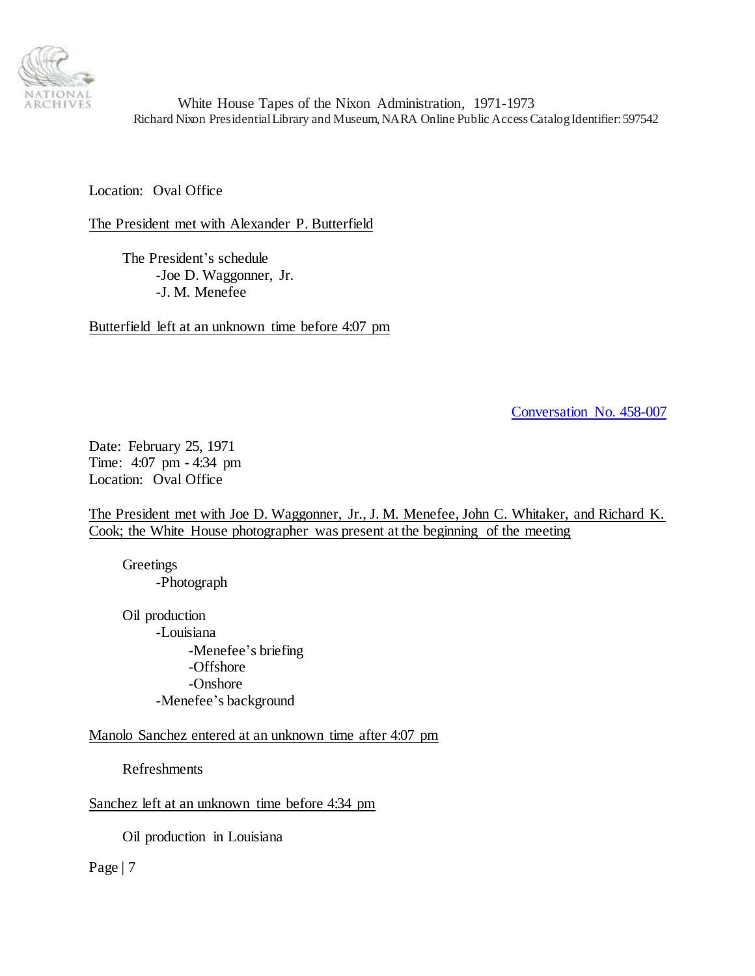

Location: Oval Office

The President met with Alexander P. Butterfield

The President's schedule -Joe D. Waggonner, Jr. -J. M. Menefee

Butterfield left at an unknown time before 4:07 pm

<span id="page-6-0"></span>[Conversation No. 458-007](#page-0-1)

Date: February 25, 1971 Time: 4:07 pm - 4:34 pm Location: Oval Office

The President met with Joe D. Waggonner, Jr., J. M. Menefee, John C. Whitaker, and Richard K. Cook; the White House photographer was present at the beginning of the meeting

**Greetings** -Photograph

Oil production -Louisiana -Menefee's briefing -Offshore -Onshore -Menefee's background

Manolo Sanchez entered at an unknown time after 4:07 pm

Refreshments

Sanchez left at an unknown time before 4:34 pm

Oil production in Louisiana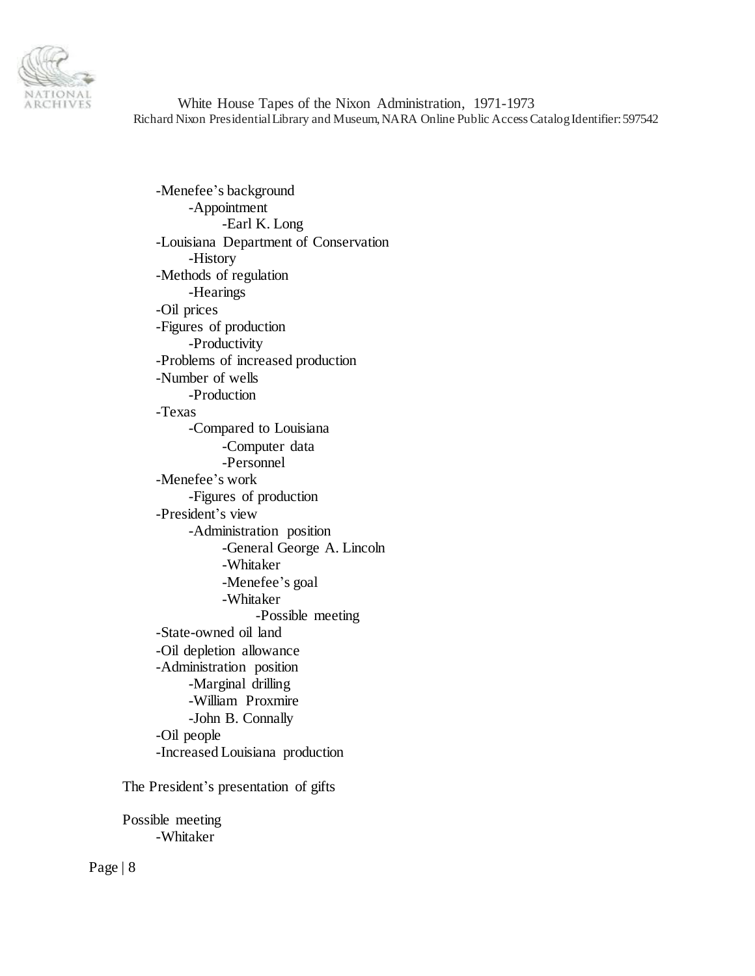

-Menefee's background -Appointment -Earl K. Long -Louisiana Department of Conservation -History -Methods of regulation -Hearings -Oil prices -Figures of production -Productivity -Problems of increased production -Number of wells -Production -Texas -Compared to Louisiana -Computer data -Personnel -Menefee's work -Figures of production -President's view -Administration position -General George A. Lincoln -Whitaker -Menefee's goal -Whitaker -Possible meeting -State-owned oil land -Oil depletion allowance -Administration position -Marginal drilling -William Proxmire -John B. Connally -Oil people -Increased Louisiana production

The President's presentation of gifts

Possible meeting -Whitaker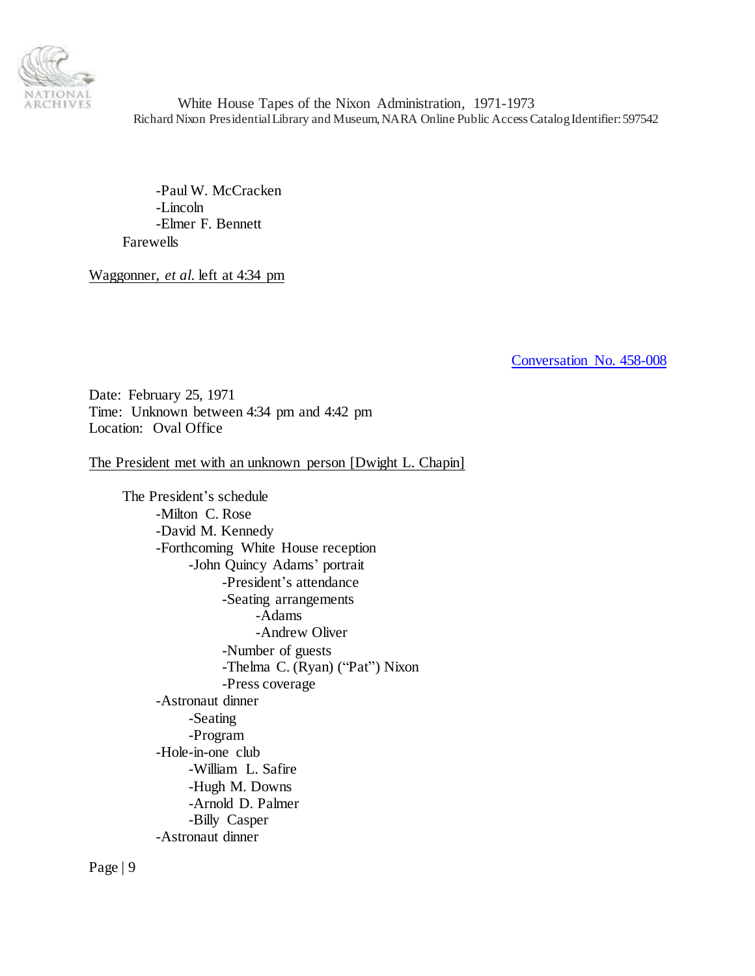

-Paul W. McCracken -Lincoln -Elmer F. Bennett Farewells

Waggonner, *et al.* left at 4:34 pm

<span id="page-8-0"></span>[Conversation No. 458-008](#page-0-1)

Date: February 25, 1971 Time: Unknown between 4:34 pm and 4:42 pm Location: Oval Office

The President met with an unknown person [Dwight L. Chapin]

The President's schedule -Milton C. Rose -David M. Kennedy -Forthcoming White House reception -John Quincy Adams' portrait -President's attendance -Seating arrangements -Adams -Andrew Oliver -Number of guests -Thelma C. (Ryan) ("Pat") Nixon -Press coverage -Astronaut dinner -Seating -Program -Hole-in-one club -William L. Safire -Hugh M. Downs -Arnold D. Palmer -Billy Casper -Astronaut dinner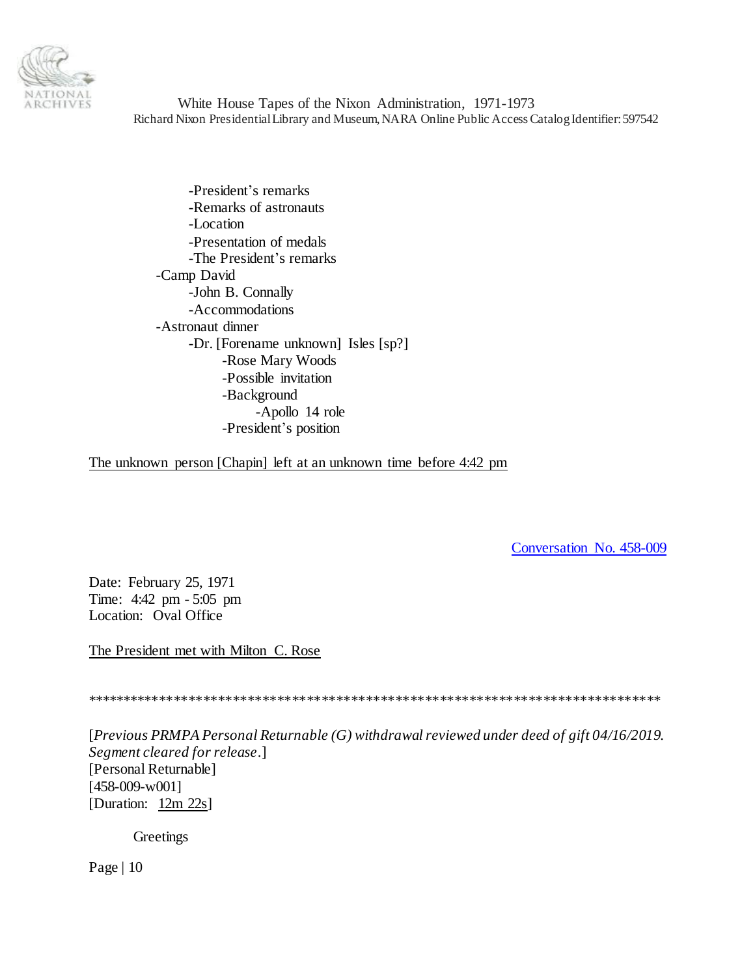

-President's remarks -Remarks of astronauts -Location -Presentation of medals -The President's remarks -Camp David -John B. Connally -Accommodations -Astronaut dinner -Dr. [Forename unknown] Isles [sp?] -Rose Mary Woods -Possible invitation -Background -Apollo 14 role -President's position

The unknown person [Chapin] left at an unknown time before 4:42 pm

<span id="page-9-0"></span>[Conversation No. 458-009](#page-0-1)

Date: February 25, 1971 Time: 4:42 pm - 5:05 pm Location: Oval Office

The President met with Milton C. Rose

\*\*\*\*\*\*\*\*\*\*\*\*\*\*\*\*\*\*\*\*\*\*\*\*\*\*\*\*\*\*\*\*\*\*\*\*\*\*\*\*\*\*\*\*\*\*\*\*\*\*\*\*\*\*\*\*\*\*\*\*\*\*\*\*\*\*\*\*\*\*\*\*\*\*\*\*\*\*

[*Previous PRMPA Personal Returnable (G) withdrawal reviewed under deed of gift 04/16/2019. Segment cleared for release*.] [Personal Returnable] [458-009-w001] [Duration: 12m 22s]

**Greetings**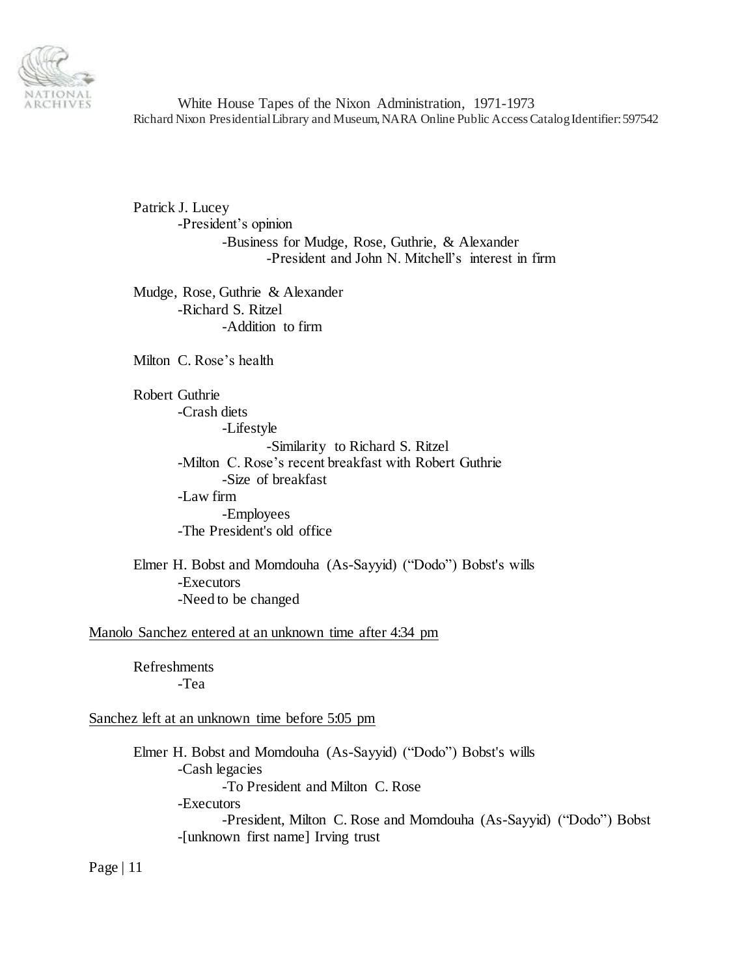

Patrick J. Lucey -President's opinion -Business for Mudge, Rose, Guthrie, & Alexander -President and John N. Mitchell's interest in firm

Mudge, Rose, Guthrie & Alexander -Richard S. Ritzel -Addition to firm

Milton C. Rose's health

Robert Guthrie -Crash diets -Lifestyle -Similarity to Richard S. Ritzel -Milton C. Rose's recent breakfast with Robert Guthrie -Size of breakfast -Law firm -Employees -The President's old office

Elmer H. Bobst and Momdouha (As-Sayyid) ("Dodo") Bobst's wills -Executors -Need to be changed

Manolo Sanchez entered at an unknown time after 4:34 pm

Refreshments -Tea

#### Sanchez left at an unknown time before 5:05 pm

Elmer H. Bobst and Momdouha (As-Sayyid) ("Dodo") Bobst's wills -Cash legacies -To President and Milton C. Rose -Executors -President, Milton C. Rose and Momdouha (As-Sayyid) ("Dodo") Bobst -[unknown first name] Irving trust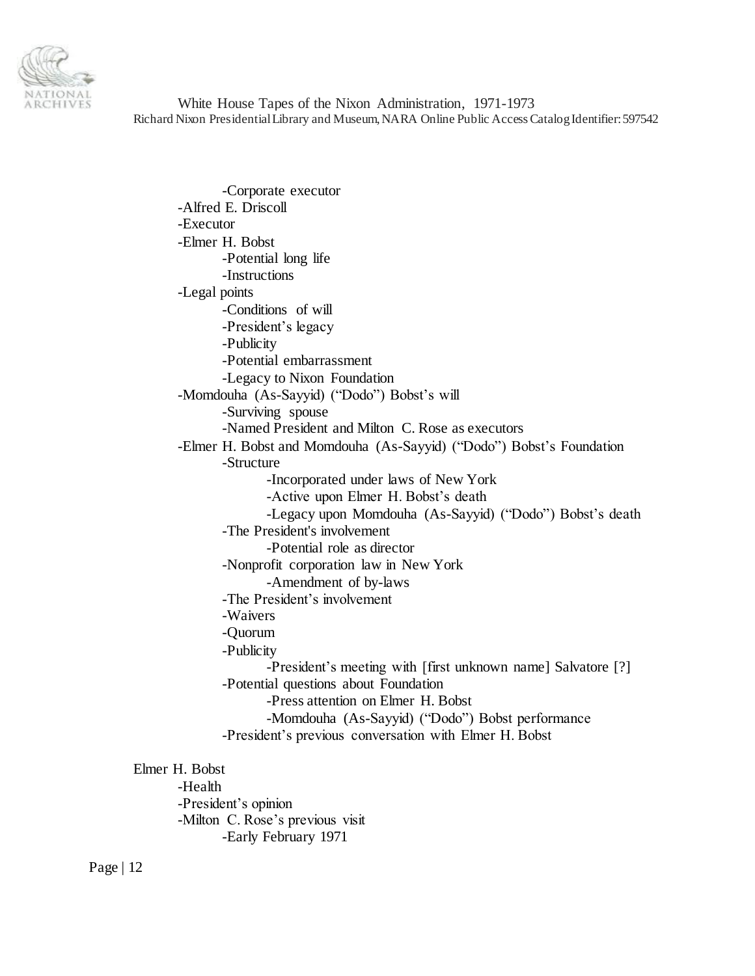

-Corporate executor -Alfred E. Driscoll -Executor -Elmer H. Bobst -Potential long life -Instructions -Legal points -Conditions of will -President's legacy -Publicity -Potential embarrassment -Legacy to Nixon Foundation -Momdouha (As-Sayyid) ("Dodo") Bobst's will -Surviving spouse -Named President and Milton C. Rose as executors -Elmer H. Bobst and Momdouha (As-Sayyid) ("Dodo") Bobst's Foundation -Structure -Incorporated under laws of New York -Active upon Elmer H. Bobst's death -Legacy upon Momdouha (As-Sayyid) ("Dodo") Bobst's death -The President's involvement -Potential role as director -Nonprofit corporation law in New York -Amendment of by-laws -The President's involvement -Waivers -Quorum -Publicity -President's meeting with [first unknown name] Salvatore [?] -Potential questions about Foundation -Press attention on Elmer H. Bobst -Momdouha (As-Sayyid) ("Dodo") Bobst performance -President's previous conversation with Elmer H. Bobst Elmer H. Bobst -Health

-President's opinion -Milton C. Rose's previous visit -Early February 1971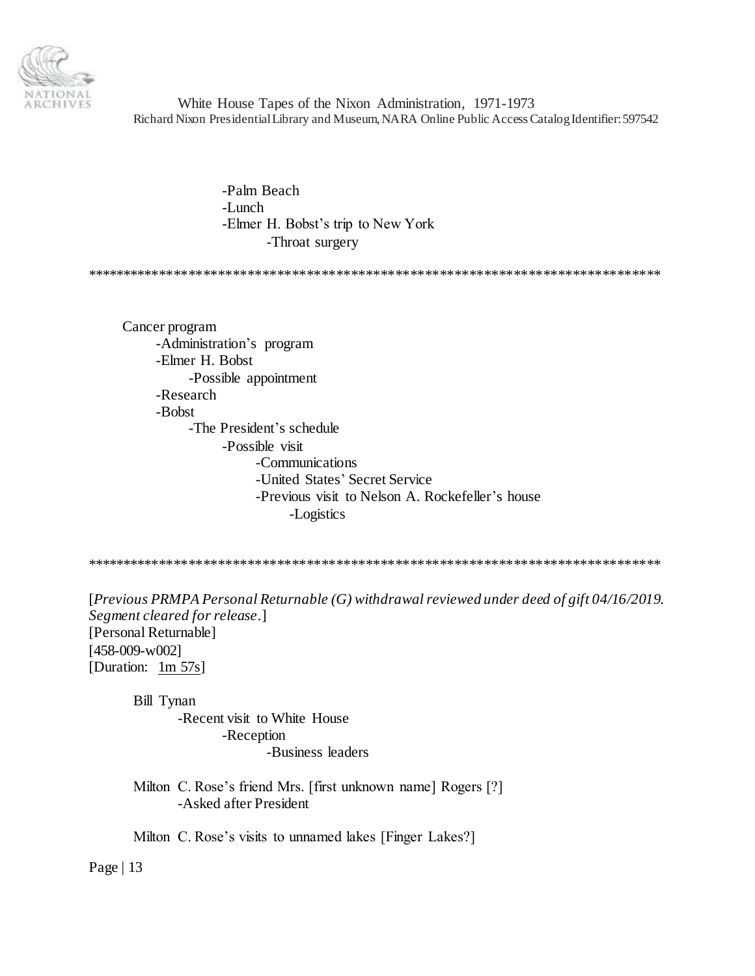

> -Palm Beach -Lunch -Elmer H. Bobst's trip to New York -Throat surgery

\*\*\*\*\*\*\*\*\*\*\*\*\*\*\*\*\*\*\*\*\*\*\*\*\*\*\*\*\*\*\*\*\*\*\*\*\*\*\*\*\*\*\*\*\*\*\*\*\*\*\*\*\*\*\*\*\*\*\*\*\*\*\*\*\*\*\*\*\*\*\*\*\*\*\*\*\*\*

Cancer program -Administration's program -Elmer H. Bobst -Possible appointment -Research -Bobst -The President's schedule -Possible visit -Communications -United States' Secret Service -Previous visit to Nelson A. Rockefeller's house -Logistics

\*\*\*\*\*\*\*\*\*\*\*\*\*\*\*\*\*\*\*\*\*\*\*\*\*\*\*\*\*\*\*\*\*\*\*\*\*\*\*\*\*\*\*\*\*\*\*\*\*\*\*\*\*\*\*\*\*\*\*\*\*\*\*\*\*\*\*\*\*\*\*\*\*\*\*\*\*\*

[*Previous PRMPA Personal Returnable (G) withdrawal reviewed under deed of gift 04/16/2019. Segment cleared for release*.] [Personal Returnable] [458-009-w002] [Duration: 1m 57s]

Bill Tynan

-Recent visit to White House -Reception -Business leaders

Milton C. Rose's friend Mrs. [first unknown name] Rogers [?] -Asked after President

Milton C. Rose's visits to unnamed lakes [Finger Lakes?]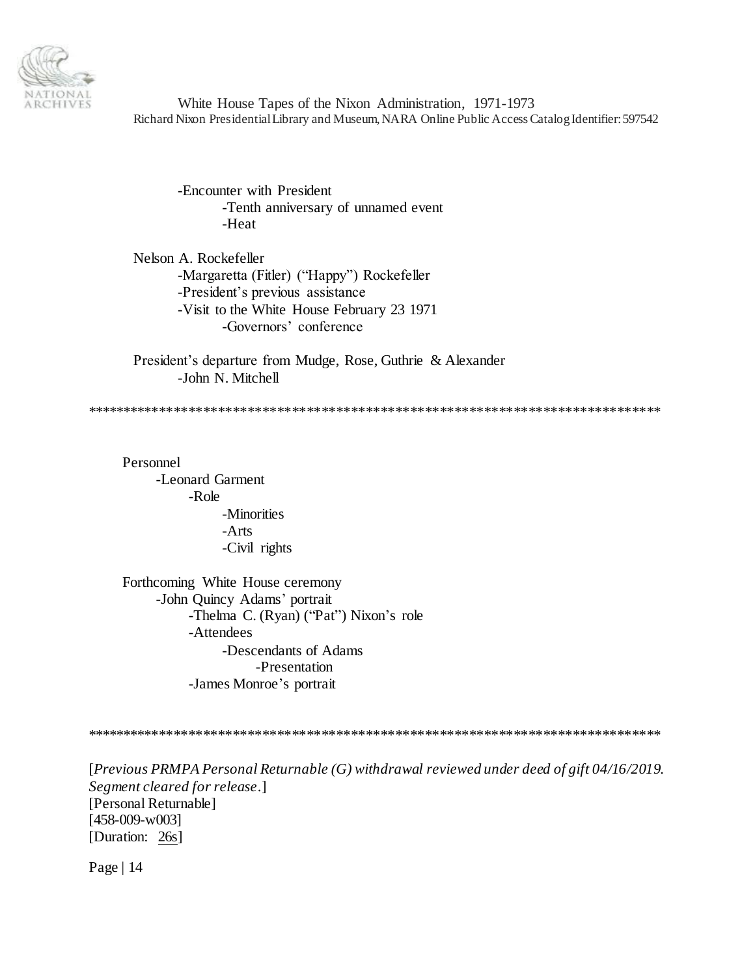

-Encounter with President -Tenth anniversary of unnamed event -Heat

Nelson A. Rockefeller -Margaretta (Fitler) ("Happy") Rockefeller -President's previous assistance -Visit to the White House February 23 1971 -Governors' conference

President's departure from Mudge, Rose, Guthrie & Alexander -John N. Mitchell

\*\*\*\*\*\*\*\*\*\*\*\*\*\*\*\*\*\*\*\*\*\*\*\*\*\*\*\*\*\*\*\*\*\*\*\*\*\*\*\*\*\*\*\*\*\*\*\*\*\*\*\*\*\*\*\*\*\*\*\*\*\*\*\*\*\*\*\*\*\*\*\*\*\*\*\*\*\*

Personnel -Leonard Garment -Role -Minorities -Arts -Civil rights

Forthcoming White House ceremony -John Quincy Adams' portrait -Thelma C. (Ryan) ("Pat") Nixon's role -Attendees -Descendants of Adams -Presentation -James Monroe's portrait

\*\*\*\*\*\*\*\*\*\*\*\*\*\*\*\*\*\*\*\*\*\*\*\*\*\*\*\*\*\*\*\*\*\*\*\*\*\*\*\*\*\*\*\*\*\*\*\*\*\*\*\*\*\*\*\*\*\*\*\*\*\*\*\*\*\*\*\*\*\*\*\*\*\*\*\*\*\*

[*Previous PRMPA Personal Returnable (G) withdrawal reviewed under deed of gift 04/16/2019. Segment cleared for release*.] [Personal Returnable] [458-009-w003] [Duration: 26s]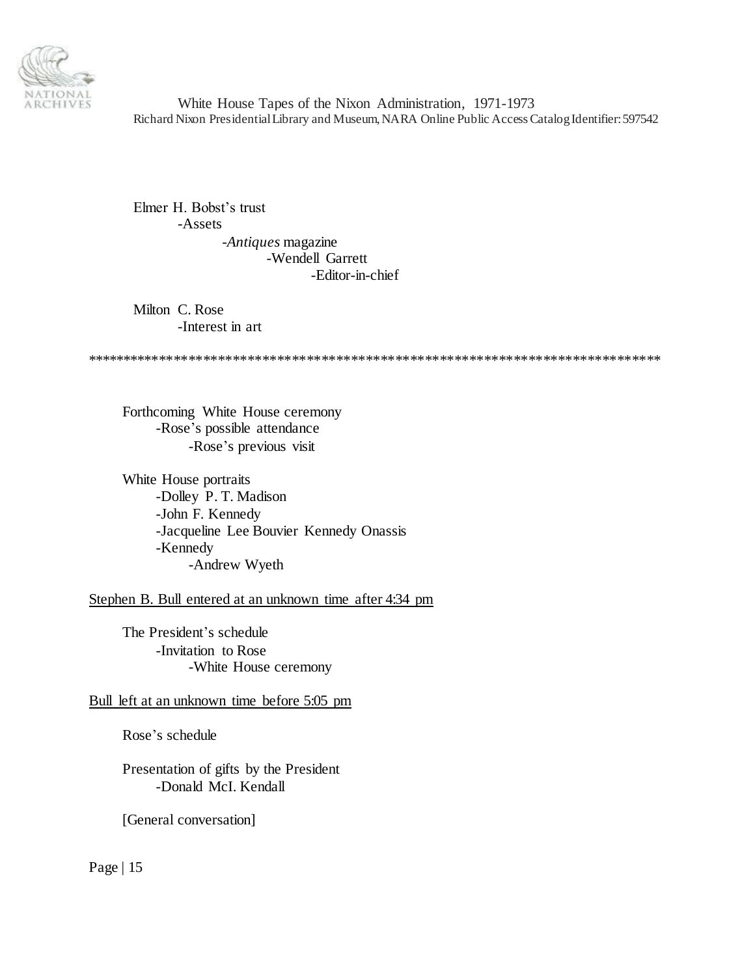

Elmer H. Bobst's trust -Assets -*Antiques* magazine -Wendell Garrett -Editor-in-chief

Milton C. Rose -Interest in art

\*\*\*\*\*\*\*\*\*\*\*\*\*\*\*\*\*\*\*\*\*\*\*\*\*\*\*\*\*\*\*\*\*\*\*\*\*\*\*\*\*\*\*\*\*\*\*\*\*\*\*\*\*\*\*\*\*\*\*\*\*\*\*\*\*\*\*\*\*\*\*\*\*\*\*\*\*\*

Forthcoming White House ceremony -Rose's possible attendance -Rose's previous visit

White House portraits -Dolley P. T. Madison -John F. Kennedy -Jacqueline Lee Bouvier Kennedy Onassis -Kennedy -Andrew Wyeth

Stephen B. Bull entered at an unknown time after 4:34 pm

The President's schedule -Invitation to Rose -White House ceremony

### Bull left at an unknown time before 5:05 pm

Rose's schedule

Presentation of gifts by the President -Donald McI. Kendall

[General conversation]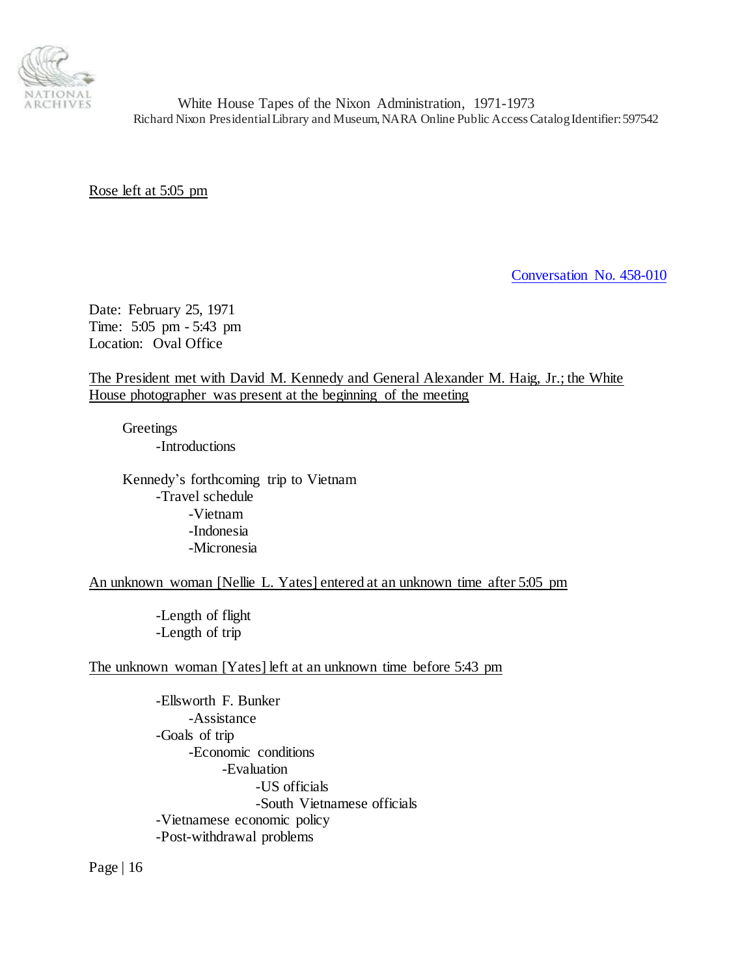

Rose left at 5:05 pm

<span id="page-15-0"></span>[Conversation No. 458-010](#page-0-1)

Date: February 25, 1971 Time: 5:05 pm - 5:43 pm Location: Oval Office

The President met with David M. Kennedy and General Alexander M. Haig, Jr.; the White House photographer was present at the beginning of the meeting

**Greetings** -Introductions

Kennedy's forthcoming trip to Vietnam -Travel schedule -Vietnam -Indonesia -Micronesia

An unknown woman [Nellie L. Yates] entered at an unknown time after 5:05 pm

-Length of flight -Length of trip

## The unknown woman [Yates] left at an unknown time before 5:43 pm

-Ellsworth F. Bunker -Assistance -Goals of trip -Economic conditions -Evaluation -US officials -South Vietnamese officials -Vietnamese economic policy -Post-withdrawal problems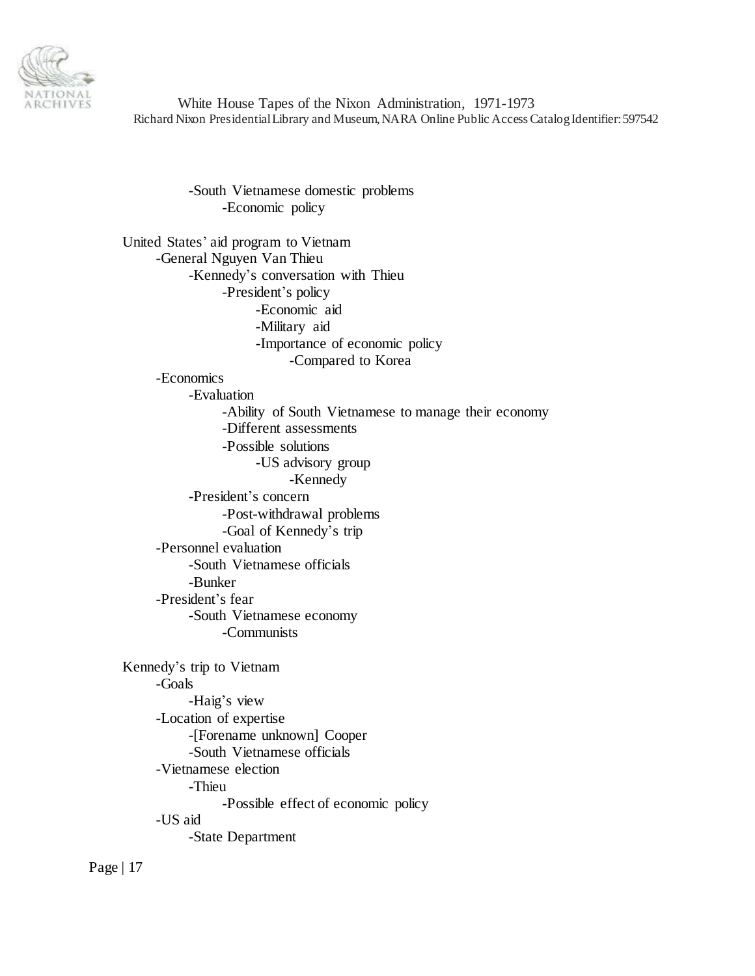

> -South Vietnamese domestic problems -Economic policy

United States' aid program to Vietnam -General Nguyen Van Thieu -Kennedy's conversation with Thieu -President's policy -Economic aid -Military aid -Importance of economic policy -Compared to Korea -Economics -Evaluation -Ability of South Vietnamese to manage their economy -Different assessments -Possible solutions -US advisory group -Kennedy -President's concern -Post-withdrawal problems -Goal of Kennedy's trip -Personnel evaluation -South Vietnamese officials -Bunker -President's fear -South Vietnamese economy -Communists Kennedy's trip to Vietnam -Goals -Haig's view -Location of expertise -[Forename unknown] Cooper -South Vietnamese officials -Vietnamese election -Thieu -Possible effect of economic policy -US aid -State Department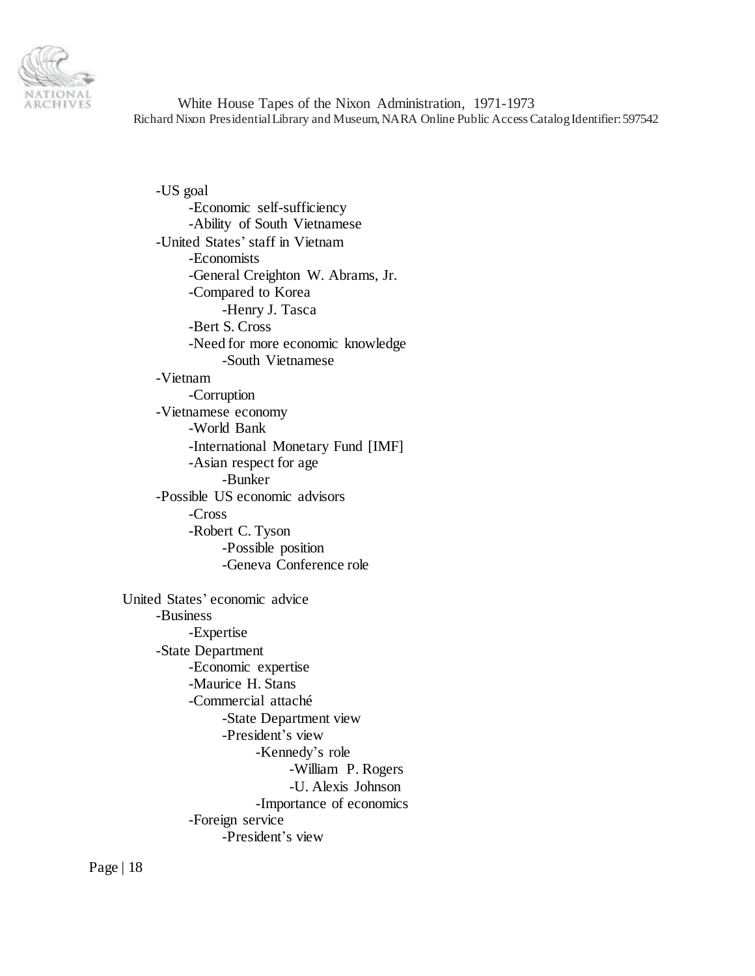

-US goal -Economic self-sufficiency -Ability of South Vietnamese -United States' staff in Vietnam -Economists -General Creighton W. Abrams, Jr. -Compared to Korea -Henry J. Tasca -Bert S. Cross -Need for more economic knowledge -South Vietnamese -Vietnam -Corruption -Vietnamese economy -World Bank -International Monetary Fund [IMF] -Asian respect for age -Bunker -Possible US economic advisors -Cross -Robert C. Tyson -Possible position -Geneva Conference role United States' economic advice -Business -Expertise -State Department -Economic expertise -Maurice H. Stans -Commercial attaché -State Department view -President's view -Kennedy's role -William P. Rogers -U. Alexis Johnson -Importance of economics -Foreign service -President's view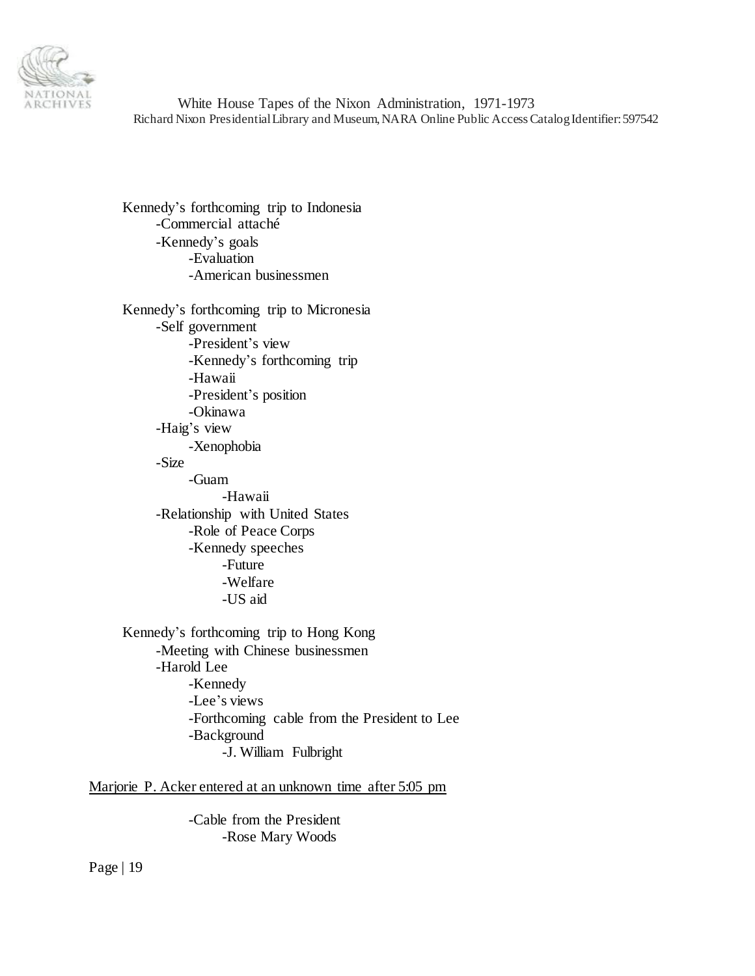

Kennedy's forthcoming trip to Indonesia -Commercial attaché -Kennedy's goals -Evaluation -American businessmen

Kennedy's forthcoming trip to Micronesia -Self government -President's view -Kennedy's forthcoming trip -Hawaii -President's position -Okinawa -Haig's view -Xenophobia -Size -Guam -Hawaii -Relationship with United States -Role of Peace Corps -Kennedy speeches -Future -Welfare -US aid Kennedy's forthcoming trip to Hong Kong -Meeting with Chinese businessmen -Harold Lee -Kennedy

-Lee's views -Forthcoming cable from the President to Lee -Background

-J. William Fulbright

Marjorie P. Acker entered at an unknown time after 5:05 pm

-Cable from the President -Rose Mary Woods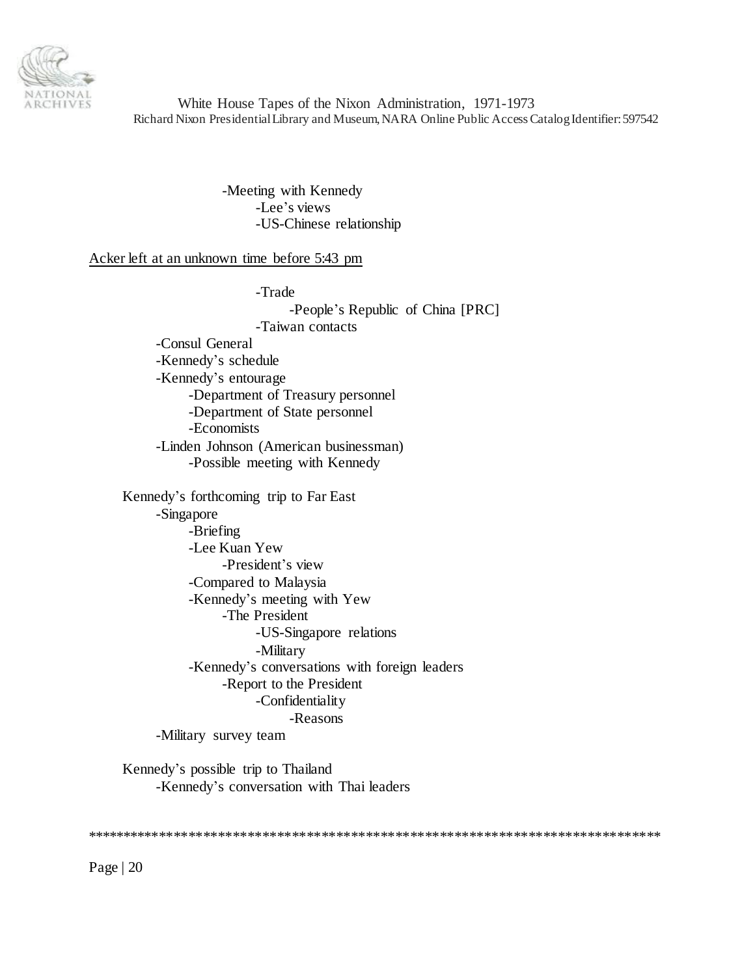

> -Meeting with Kennedy -Lee's views -US-Chinese relationship

Acker left at an unknown time before 5:43 pm

-Trade

-People's Republic of China [PRC] -Taiwan contacts -Consul General -Kennedy's schedule -Kennedy's entourage -Department of Treasury personnel -Department of State personnel -Economists -Linden Johnson (American businessman) -Possible meeting with Kennedy Kennedy's forthcoming trip to Far East -Singapore -Briefing -Lee Kuan Yew -President's view -Compared to Malaysia -Kennedy's meeting with Yew -The President -US-Singapore relations -Military -Kennedy's conversations with foreign leaders -Report to the President -Confidentiality -Reasons

-Military survey team

Kennedy's possible trip to Thailand -Kennedy's conversation with Thai leaders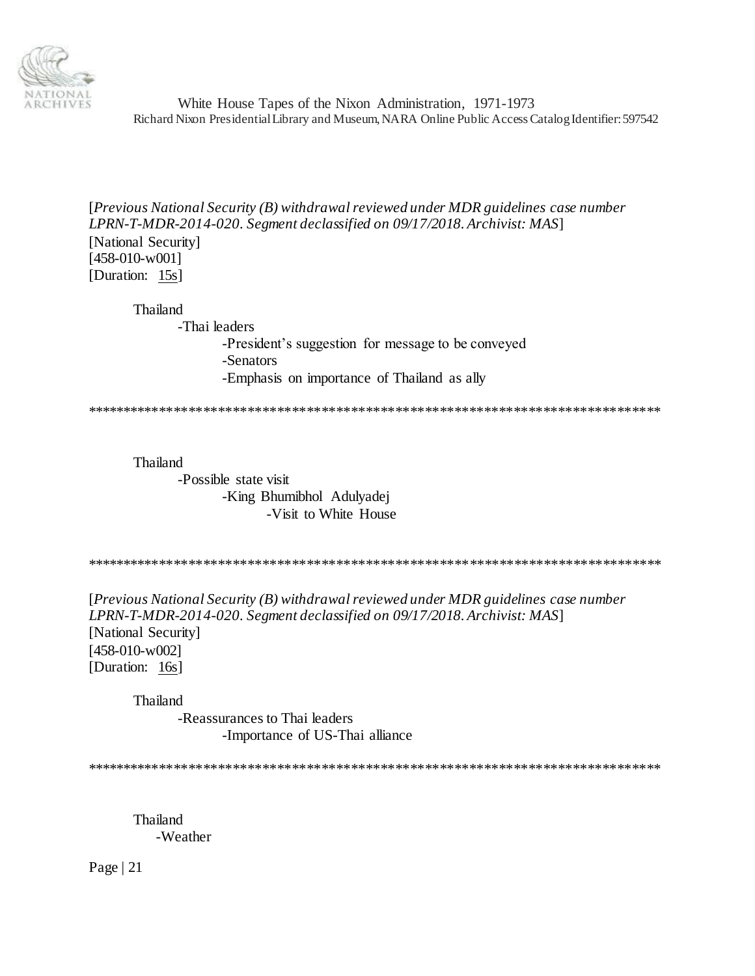

[*Previous National Security (B) withdrawal reviewed under MDR guidelines case number LPRN-T-MDR-2014-020. Segment declassified on 09/17/2018. Archivist: MAS*] [National Security] [458-010-w001] [Duration: 15s]

Thailand -Thai leaders -President's suggestion for message to be conveyed -Senators -Emphasis on importance of Thailand as ally

\*\*\*\*\*\*\*\*\*\*\*\*\*\*\*\*\*\*\*\*\*\*\*\*\*\*\*\*\*\*\*\*\*\*\*\*\*\*\*\*\*\*\*\*\*\*\*\*\*\*\*\*\*\*\*\*\*\*\*\*\*\*\*\*\*\*\*\*\*\*\*\*\*\*\*\*\*\*

Thailand

-Possible state visit -King Bhumibhol Adulyadej -Visit to White House

\*\*\*\*\*\*\*\*\*\*\*\*\*\*\*\*\*\*\*\*\*\*\*\*\*\*\*\*\*\*\*\*\*\*\*\*\*\*\*\*\*\*\*\*\*\*\*\*\*\*\*\*\*\*\*\*\*\*\*\*\*\*\*\*\*\*\*\*\*\*\*\*\*\*\*\*\*\*

[*Previous National Security (B) withdrawal reviewed under MDR guidelines case number LPRN-T-MDR-2014-020. Segment declassified on 09/17/2018. Archivist: MAS*] [National Security] [458-010-w002] [Duration: 16s]

Thailand

-Reassurances to Thai leaders -Importance of US-Thai alliance

\*\*\*\*\*\*\*\*\*\*\*\*\*\*\*\*\*\*\*\*\*\*\*\*\*\*\*\*\*\*\*\*\*\*\*\*\*\*\*\*\*\*\*\*\*\*\*\*\*\*\*\*\*\*\*\*\*\*\*\*\*\*\*\*\*\*\*\*\*\*\*\*\*\*\*\*\*\*

Thailand -Weather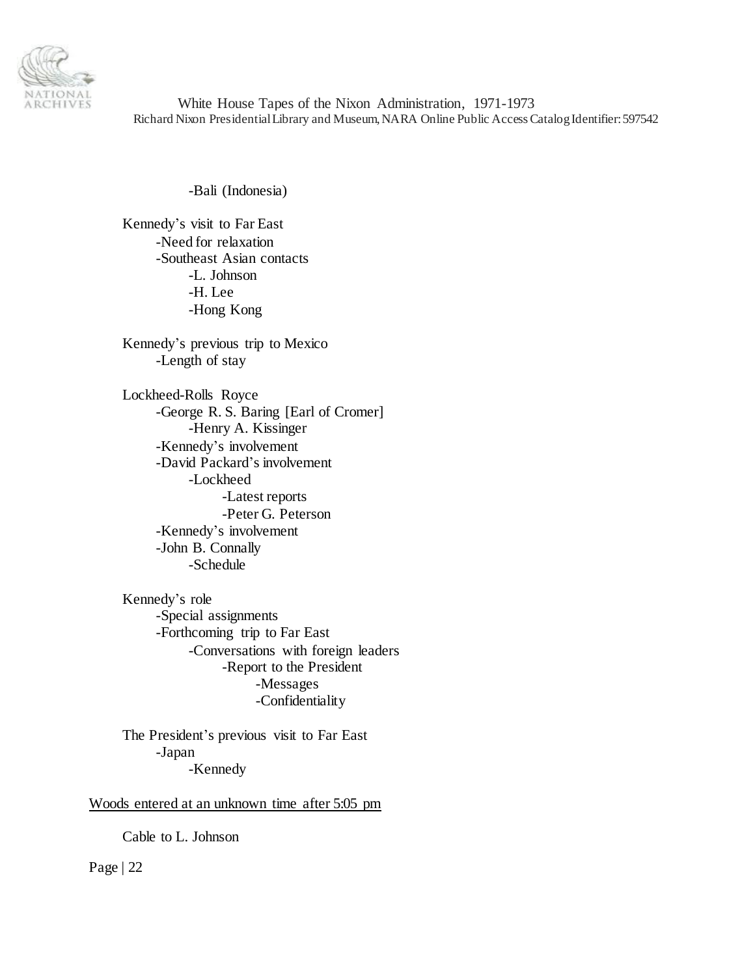

-Bali (Indonesia)

Kennedy's visit to Far East -Need for relaxation -Southeast Asian contacts -L. Johnson -H. Lee -Hong Kong

Kennedy's previous trip to Mexico -Length of stay

Lockheed-Rolls Royce -George R. S. Baring [Earl of Cromer] -Henry A. Kissinger -Kennedy's involvement -David Packard's involvement -Lockheed -Latest reports -Peter G. Peterson -Kennedy's involvement -John B. Connally -Schedule

Kennedy's role -Special assignments -Forthcoming trip to Far East -Conversations with foreign leaders -Report to the President -Messages -Confidentiality

The President's previous visit to Far East -Japan -Kennedy

Woods entered at an unknown time after 5:05 pm

Cable to L. Johnson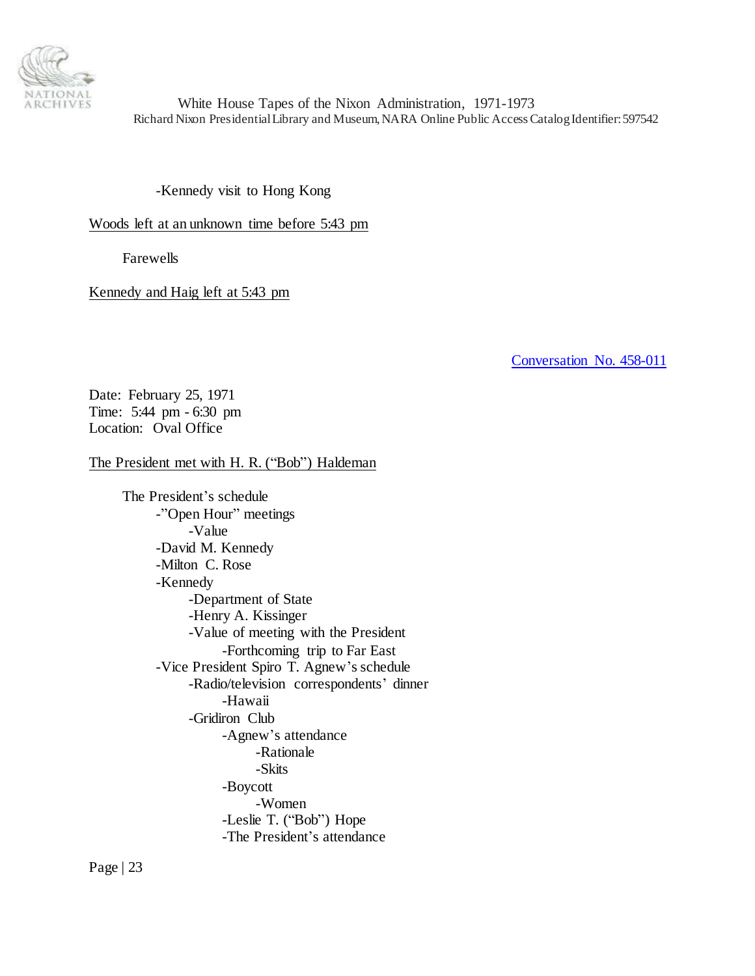

-Kennedy visit to Hong Kong

Woods left at an unknown time before 5:43 pm

Farewells

Kennedy and Haig left at 5:43 pm

<span id="page-22-0"></span>[Conversation No. 458-011](#page-0-1)

Date: February 25, 1971 Time: 5:44 pm - 6:30 pm Location: Oval Office

#### The President met with H. R. ("Bob") Haldeman

The President's schedule -"Open Hour" meetings -Value -David M. Kennedy -Milton C. Rose -Kennedy -Department of State -Henry A. Kissinger -Value of meeting with the President -Forthcoming trip to Far East -Vice President Spiro T. Agnew's schedule -Radio/television correspondents' dinner -Hawaii -Gridiron Club -Agnew's attendance -Rationale -Skits -Boycott -Women -Leslie T. ("Bob") Hope -The President's attendance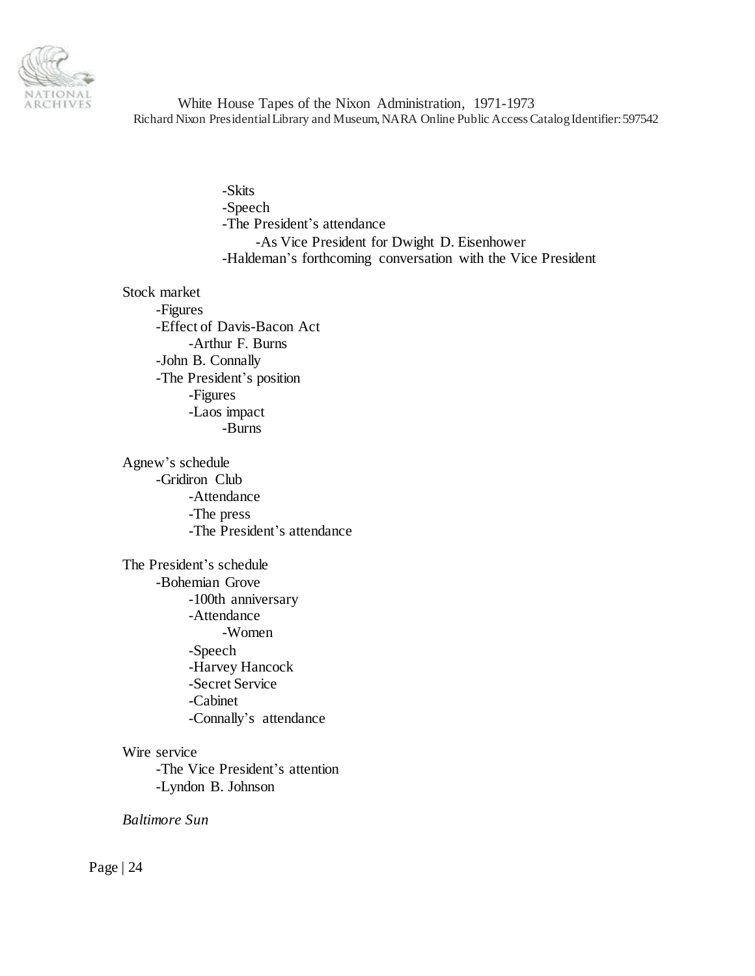

> -Skits -Speech -The President's attendance -As Vice President for Dwight D. Eisenhower -Haldeman's forthcoming conversation with the Vice President

Stock market

-Figures -Effect of Davis-Bacon Act -Arthur F. Burns -John B. Connally -The President's position -Figures -Laos impact -Burns

Agnew's schedule -Gridiron Club -Attendance -The press -The President's attendance

The President's schedule -Bohemian Grove -100th anniversary -Attendance -Women -Speech -Harvey Hancock -Secret Service -Cabinet -Connally's attendance

Wire service -The Vice President's attention -Lyndon B. Johnson

*Baltimore Sun*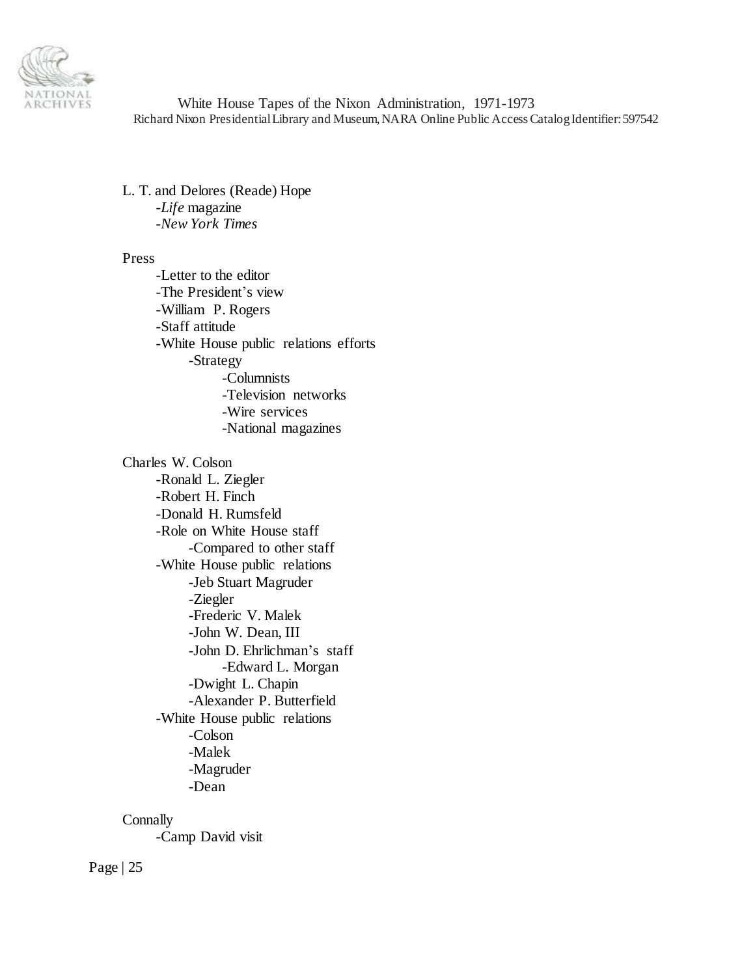

L. T. and Delores (Reade) Hope -*Life* magazine -*New York Times*

#### Press

-Letter to the editor -The President's view -William P. Rogers -Staff attitude -White House public relations efforts -Strategy -Columnists -Television networks -Wire services -National magazines

Charles W. Colson -Ronald L. Ziegler -Robert H. Finch -Donald H. Rumsfeld -Role on White House staff -Compared to other staff -White House public relations -Jeb Stuart Magruder -Ziegler -Frederic V. Malek -John W. Dean, III -John D. Ehrlichman's staff -Edward L. Morgan -Dwight L. Chapin -Alexander P. Butterfield -White House public relations -Colson -Malek -Magruder -Dean

**Connally** 

-Camp David visit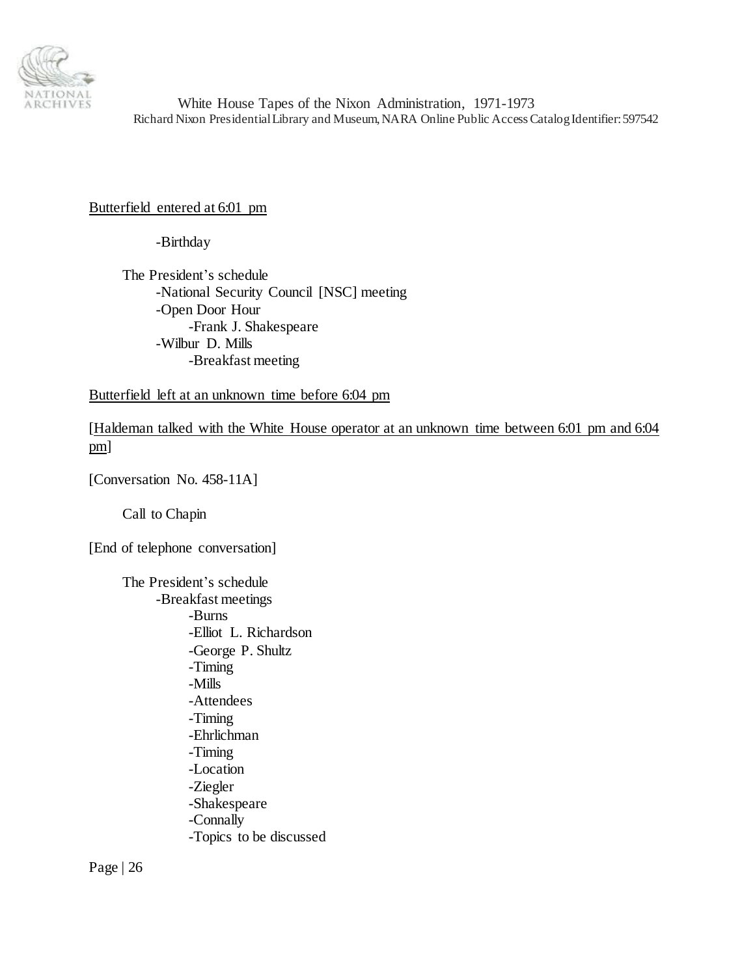

## Butterfield entered at 6:01 pm

-Birthday

The President's schedule -National Security Council [NSC] meeting -Open Door Hour -Frank J. Shakespeare -Wilbur D. Mills -Breakfast meeting

Butterfield left at an unknown time before 6:04 pm

[Haldeman talked with the White House operator at an unknown time between 6:01 pm and 6:04 pm]

[Conversation No. 458-11A]

Call to Chapin

[End of telephone conversation]

The President's schedule -Breakfast meetings -Burns -Elliot L. Richardson -George P. Shultz -Timing -Mills -Attendees -Timing -Ehrlichman -Timing -Location -Ziegler -Shakespeare -Connally -Topics to be discussed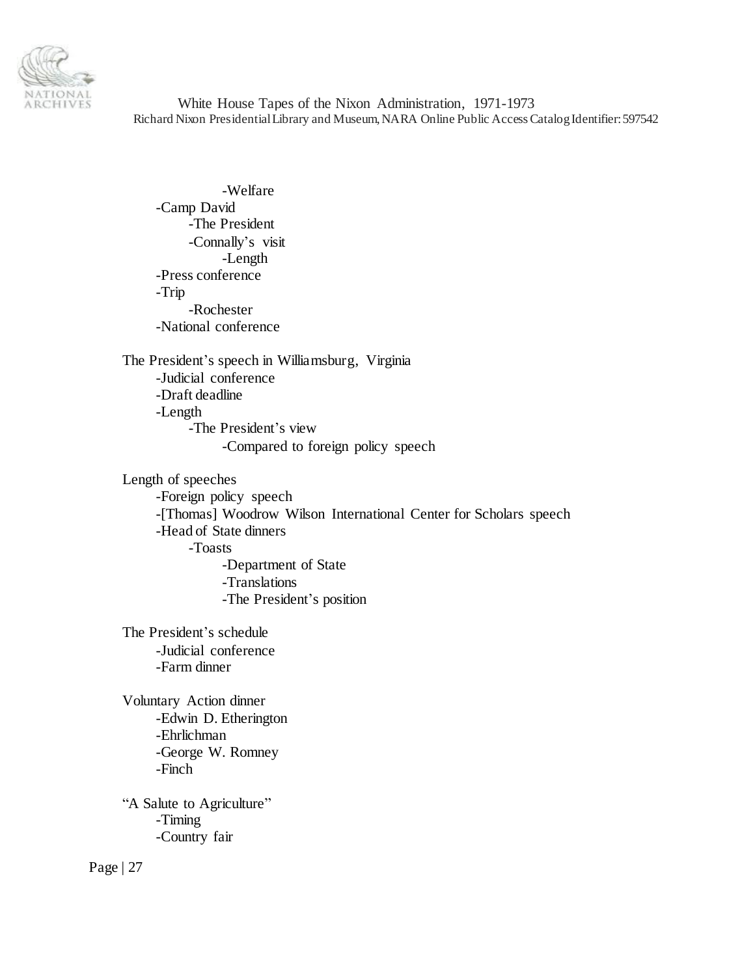

-Welfare -Camp David -The President -Connally's visit -Length -Press conference -Trip -Rochester -National conference

The President's speech in Williamsburg, Virginia -Judicial conference -Draft deadline -Length -The President's view -Compared to foreign policy speech

Length of speeches -Foreign policy speech -[Thomas] Woodrow Wilson International Center for Scholars speech -Head of State dinners -Toasts -Department of State -Translations -The President's position

The President's schedule -Judicial conference -Farm dinner

Voluntary Action dinner -Edwin D. Etherington -Ehrlichman -George W. Romney -Finch

"A Salute to Agriculture" -Timing -Country fair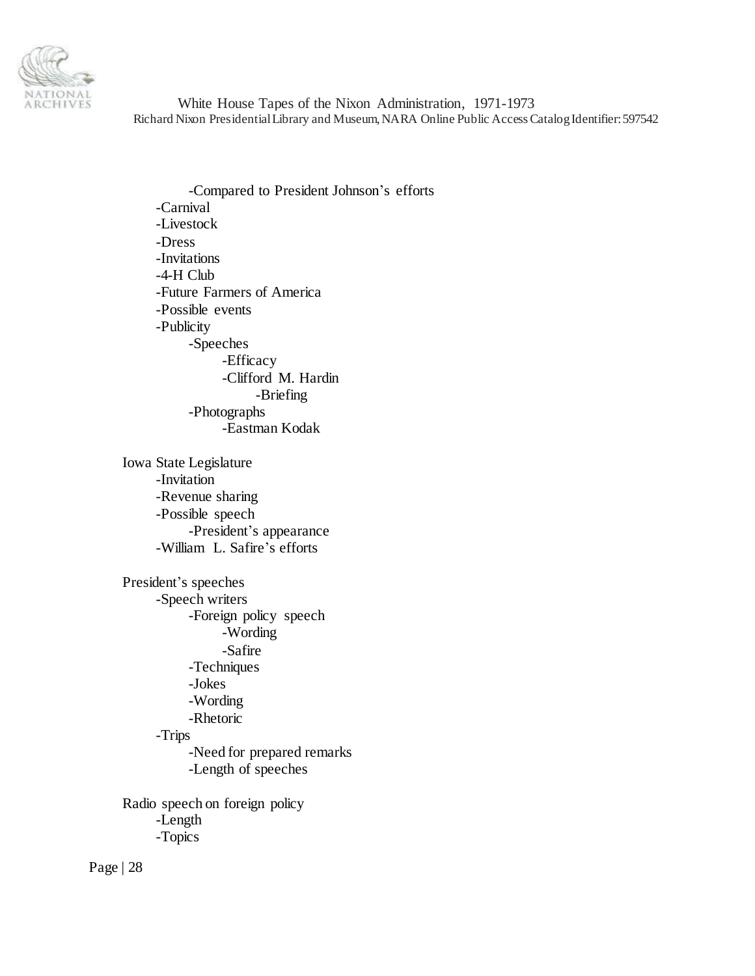

-Compared to President Johnson's efforts -Carnival -Livestock -Dress -Invitations -4-H Club -Future Farmers of America -Possible events -Publicity -Speeches -Efficacy -Clifford M. Hardin -Briefing -Photographs -Eastman Kodak Iowa State Legislature -Invitation -Revenue sharing -Possible speech -President's appearance -William L. Safire's efforts President's speeches -Speech writers -Foreign policy speech -Wording -Safire -Techniques -Jokes -Wording -Rhetoric -Trips -Need for prepared remarks -Length of speeches Radio speech on foreign policy -Length -Topics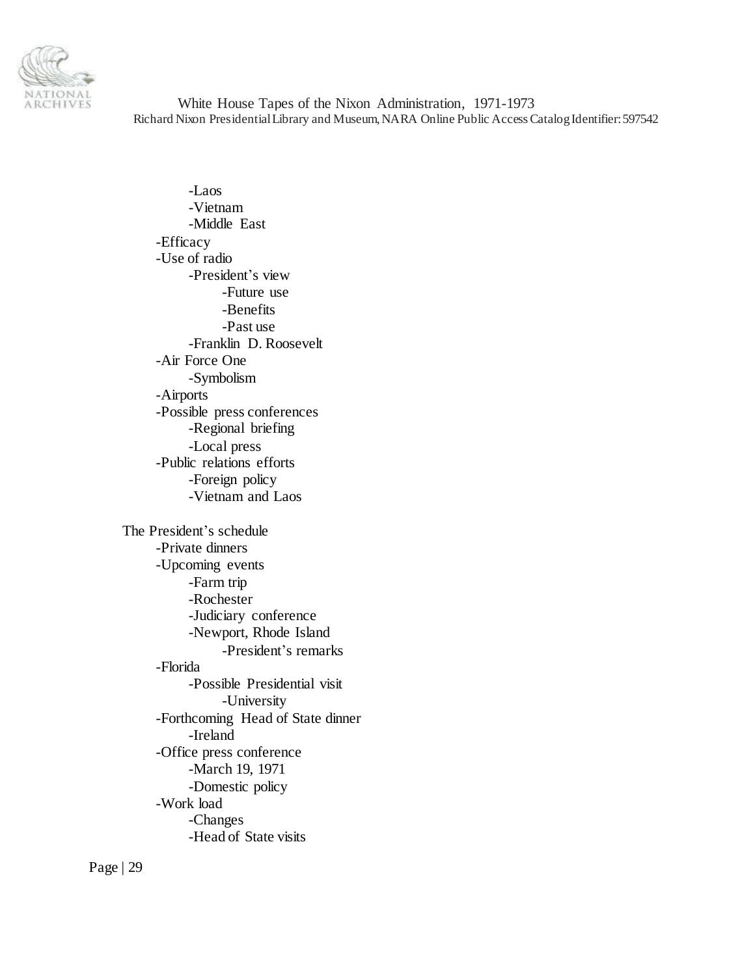

-Laos -Vietnam -Middle East -Efficacy -Use of radio -President's view -Future use -Benefits -Past use -Franklin D. Roosevelt -Air Force One -Symbolism -Airports -Possible press conferences -Regional briefing -Local press -Public relations efforts -Foreign policy -Vietnam and Laos The President's schedule -Private dinners -Upcoming events -Farm trip -Rochester -Judiciary conference -Newport, Rhode Island -President's remarks -Florida -Possible Presidential visit -University -Forthcoming Head of State dinner -Ireland -Office press conference -March 19, 1971 -Domestic policy -Work load -Changes -Head of State visits